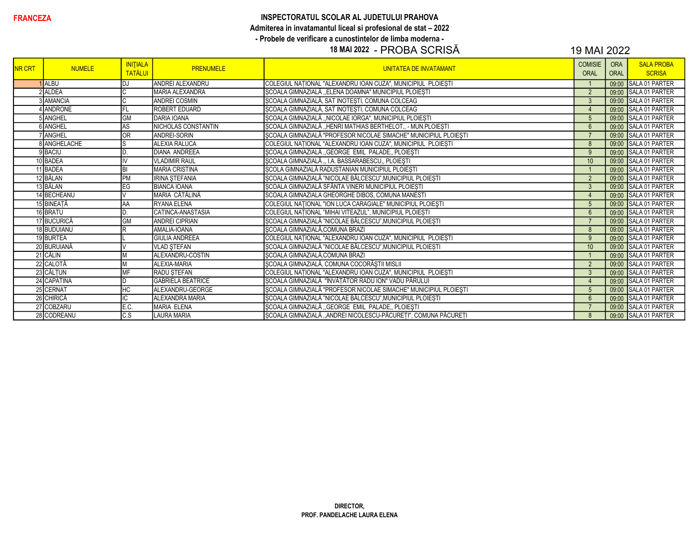#### **FRANCEZA** INSPECTORATUL SCOLAR AL JUDETULUI PRAHOVA Admiterea in invatamantul liceal si profesional de stat – 2022 - Probele de verificare a cunostintelor de limba moderna -

# 18 MAI 2022 - PROBA SCRISĂ 19 MAI 2022

| <b>INR CRT</b> | <b>NUMELE</b>  | <b>INITIALA</b><br><b>TATĂLU</b> | <b>PRENUMELE</b>         | <b>UNITATEA DE INVATAMANT</b>                                    | <b>COMISIE</b><br><b>ORAL</b> | <b>ORA</b><br><b>ORAL</b> | <b>SALA PROBA</b><br><b>SCRISA</b> |
|----------------|----------------|----------------------------------|--------------------------|------------------------------------------------------------------|-------------------------------|---------------------------|------------------------------------|
|                | <b>ALBU</b>    | DJ                               | ANDREI ALEXANDRU         | COLEGIUL NAȚIONAL "ALEXANDRU IOAN CUZA", MUNICIPIUL PLOIEȘTI     |                               | 09:00                     | SALA 01 PARTER                     |
|                | 2 ALDEA        |                                  | MARIA ALEXANDRA          | ȘCOALA GIMNAZIALĂ "ELENA DOAMNA" MUNICIPIUL PLOIEȘTI             | 2                             | 09:00                     | <b>SALA 01 PARTER</b>              |
|                | AMANCIA        |                                  | <b>ANDREI COSMIN</b>     | SCOALA GIMNAZIALĂ, SAT INOTESTI, COMUNA COLCEAG                  | $\mathbf{3}$                  | 09:00                     | <b>SALA 01 PARTER</b>              |
|                | <b>ANDRONE</b> |                                  | <b>ROBERT EDUARD</b>     | SCOALA GIMNAZIALĂ, SAT INOTESTI, COMUNA COLCEAG                  | $\overline{4}$                |                           | 09:00 SALA 01 PARTER               |
|                | ANGHEL         | <b>GM</b>                        | <b>DARIA IOANA</b>       | SCOALA GIMNAZIALĂ "NICOLAE IORGA", MUNICIPIUL PLOIEȘTI           | 5                             |                           | 09:00 SALA 01 PARTER               |
|                | <b>ANGHEL</b>  | AS                               | NICHOLAS CONSTANTIN      | ȘCOALA GIMNAZIALĂ "HENRI MATHIAS BERTHELOT" - MUN.PLOIEȘTI       | $6\overline{6}$               |                           | 09:00 SALA 01 PARTER               |
|                | ANGHEL         | <b>OR</b>                        | ANDREI-SORIN             | ȘCOALA GIMNAZIALĂ "PROFESOR NICOLAE SIMACHE" MUNICIPIUL PLOIEȘTI |                               |                           | 09:00 SALA 01 PARTER               |
|                | 8 ANGHELACHE   | lS                               | <b>ALEXIA RALUCA</b>     | COLEGIUL NATIONAL "ALEXANDRU IOAN CUZA", MUNICIPIUL PLOIESTI     | 8                             |                           | 09:00 SALA 01 PARTER               |
|                | 9 BACIU        |                                  | <b>DIANA ANDREEA</b>     | ȘCOALA GIMNAZIALĂ "GEORGE EMIL PALADE,, PLOIEȘTI                 | 9                             |                           | 09:00 SALA 01 PARTER               |
|                | 10 BADEA       |                                  | <b>VLADIMIR RAUL</b>     | ȘCOALA GIMNAZIALĂ,, I.A. BASSARABESCU,, PLOIEȘTI                 | 10                            |                           | 09:00 SALA 01 PARTER               |
|                | 11 BADEA       | BI                               | <b>MARIA CRISTINA</b>    | SCOLA GIMNAZIALĂ RADUSTANIAN MUNICIPIUL PLOIESTI                 |                               |                           | 09:00 SALA 01 PARTER               |
|                | 12 BĂLAN       | PM                               | <b>IRINA STEFANIA</b>    | SCOALA GIMNAZIALĂ "NICOLAE BĂLCESCU", MUNICIPIUL PLOIESTI        | $\overline{2}$                | 09:00                     | SALA 01 PARTER                     |
|                | 13 BĂLAN       | EG                               | <b>BIANCA IOANA</b>      | ȘCOALA GIMNAZIALĂ SFÂNTA VINERI MUNICIPIUL PLOIEȘTI              | $\mathbf{3}$                  |                           | 09:00 SALA 01 PARTER               |
|                | 14 BECHEANU    |                                  | MARIA CĂTĂLINĂ           | SCOALA GIMNAZIALA GHEORGHE DIBOS, COMUNA MANESTI                 | $\overline{4}$                |                           | 09:00 SALA 01 PARTER               |
|                | 15 BINEAȚĂ     | İΑA                              | <b>RYANA ELENA</b>       | COLEGIUL NAȚIONAL "ION LUCA CARAGIALE" MUNICIPIUL PLOIEȘTI       | $5\overline{)}$               |                           | 09:00 SALA 01 PARTER               |
|                | 16 BRATU       |                                  | CATINCA-ANASTASIA        | COLEGIUL NAȚIONAL "MIHAI VITEAZUL", MUNICIPIUL PLOIEȘTI          | $6\phantom{1}6$               | 09:00                     | <b>SALA 01 PARTER</b>              |
|                | 17 BUCURICĂ    | GM                               | <b>ANDREI CIPRIAN</b>    | SCOALA GIMNAZIALĂ "NICOLAE BĂLCESCU", MUNICIPIUL PLOIEȘTI        | $\overline{7}$                |                           | 09:00 SALA 01 PARTER               |
|                | 18 BUDUIANU    |                                  | AMALIA-IOANA             | ŞCOALA GIMNAZIALĂ, COMUNA BRAZI                                  | 8                             |                           | 09:00 SALA 01 PARTER               |
|                | 19 BURTEA      |                                  | <b>GIULIA ANDREEA</b>    | COLEGIUL NAȚIONAL "ALEXANDRU IOAN CUZA", MUNICIPIUL PLOIEȘTI     | 9                             |                           | 09:00 SALA 01 PARTER               |
|                | 20 BURUIANĂ    |                                  | <b>VLAD STEFAN</b>       | SCOALA GIMNAZIALĂ "NICOLAE BĂLCESCU", MUNICIPIUL PLOIEȘTI        | 10                            |                           | 09:00 SALA 01 PARTER               |
|                | 21 CĂLIN       |                                  | ALEXANDRU-COSTIN         | SCOALA GIMNAZIALĂ,COMUNA BRAZI                                   |                               | 09:00                     | <b>SALA 01 PARTER</b>              |
|                | 22 CALOTĂ      |                                  | <b>ALEXIA-MARIA</b>      | ȘCOALA GIMNAZIALĂ, COMUNA COCORĂȘTII MISLII                      | $\overline{2}$                |                           | 09:00 SALA 01 PARTER               |
|                | 23 CĂLTUN      | MF                               | <b>RADU STEFAN</b>       | COLEGIUL NAȚIONAL "ALEXANDRU IOAN CUZA", MUNICIPIUL PLOIEȘTI     | 3                             | 09:00                     | <b>SALA 01 PARTER</b>              |
|                | 24 CAPATINA    |                                  | <b>GABRIELA BEATRICE</b> | ȘCOALA GIMNAZIALĂ "ÎNVĂȚĂTOR RADU ION" VADU PĂRULUI              | $\Delta$                      |                           | 09:00 SALA 01 PARTER               |
|                | 25 CERNAT      | НC                               | ALEXANDRU-GEORGE         | ȘCOALA GIMNAZIALĂ "PROFESOR NICOLAE SIMACHE" MUNICIPIUL PLOIEȘTI | 5                             | 09:00                     | <b>SALA 01 PARTER</b>              |
|                | 26 CHIRICĂ     | IC                               | <b>ALEXANDRA MARIA</b>   | ȘCOALA GIMNAZIALĂ "NICOLAE BĂLCESCU", MUNICIPIUL PLOIEȘTI        | $6\overline{6}$               | 09:00                     | <b>SALA 01 PARTER</b>              |
|                | 27 COBZARU     | E.C.                             | <b>MARIA ELENA</b>       | ȘCOALA GIMNAZIALĂ "GEORGE EMIL PALADE,, PLOIEȘTI                 | $\overline{7}$                |                           | 09:00 SALA 01 PARTER               |
|                | 28 CODREANU    | $\overline{C.S}$                 | <b>LAURA MARIA</b>       | ȘCOALA GIMNAZIALĂ "ANDREI NICOLESCU-PĂCUREȚI", COMUNA PĂCUREȚI   | $\mathbf{8}$                  |                           | 09:00 SALA 01 PARTER               |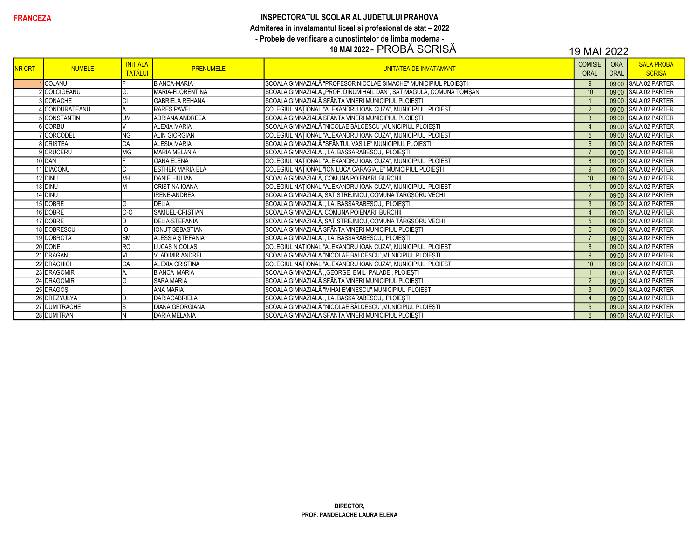# INSPECTORATUL SCOLAR AL JUDETULUI PRAHOVA Admiterea in invatamantul liceal si profesional de stat - 2022 - Probele de verificare a cunostintelor de limba moderna -<br>18 MAI 2022 - PROBĂ SCRISĂ

| <b>INR CRT</b> | <b>NUMELE</b>   | <b>INITIALA</b><br><b>TATĂLUI</b> | <b>PRENUMELE</b>        | UNITATEA DE INVATAMANT                                               | <b>COMISIE</b><br><b>ORAL</b> | <b>ORA</b><br><b>ORAL</b> | <b>SALA PROBA</b><br><b>SCRISA</b> |
|----------------|-----------------|-----------------------------------|-------------------------|----------------------------------------------------------------------|-------------------------------|---------------------------|------------------------------------|
|                | <b>I</b> COJANU |                                   | <b>BIANCA-MARIA</b>     | SCOALA GIMNAZIALĂ "PROFESOR NICOLAE SIMACHE" MUNICIPIUL PLOIEȘTI     | 9                             | 09:00                     | SALA 02 PARTER                     |
|                | 2 COLCIGEANU    | G.                                | MARIA-FLORENTINA        | ȘCOALA GIMNAZIALĂ "PROF. DINUMIHAIL DAN", SAT MAGULA, COMUNA TOMȘANI | 10 <sup>°</sup>               |                           | 09:00 SALA 02 PARTER               |
|                | 3 CONACHE       | lcı                               | <b>GABRIELA REHANA</b>  | ȘCOALA GIMNAZIALĂ SFÂNTA VINERI MUNICIPIUL PLOIEȘTI                  | $\overline{1}$                |                           | 09:00 SALA 02 PARTER               |
|                | 4 CONDURĂTEANU  |                                   | <b>RARES PAVEL</b>      | COLEGIUL NATIONAL "ALEXANDRU IOAN CUZA", MUNICIPIUL PLOIESTI         | $\overline{2}$                |                           | 09:00 SALA 02 PARTER               |
|                | 5 CONSTANTIN    | <b>UM</b>                         | <b>ADRIANA ANDREEA</b>  | ȘCOALA GIMNAZIALĂ SFÂNTA VINERI MUNICIPIUL PLOIEȘTI                  | 3                             |                           | 09:00 SALA 02 PARTER               |
|                | 6 CORBU         |                                   | <b>ALEXIA MARIA</b>     | ȘCOALA GIMNAZIALĂ "NICOLAE BĂLCESCU", MUNICIPIUL PLOIEȘTI            | $\overline{4}$                |                           | 09:00 SALA 02 PARTER               |
|                | <b>CORCODEL</b> | <b>NG</b>                         | <b>ALIN GIORGIAN</b>    | COLEGIUL NAȚIONAL "ALEXANDRU IOAN CUZA", MUNICIPIUL PLOIEȘTI         | 5                             |                           | 09:00 SALA 02 PARTER               |
|                | 8 CRISTEA       | CA                                | <b>ALESIA MARIA</b>     | ȘCOALA GIMNAZIALĂ "SFÂNTUL VASILE" MUNICIPIUL PLOIEȘTI               | $6\overline{6}$               |                           | 09:00 SALA 02 PARTER               |
|                | 9 CRUCERU       | MG                                | <b>MARIA MELANIA</b>    | ȘCOALA GIMNAZIALĂ "I.A. BASSARABESCU" PLOIEȘTI                       |                               |                           | 09:00 SALA 02 PARTER               |
|                | 10 DAN          |                                   | <b>OANA ELENA</b>       | COLEGIUL NAȚIONAL "ALEXANDRU IOAN CUZA", MUNICIPIUL PLOIEȘTI         | 8                             |                           | 09:00 SALA 02 PARTER               |
|                | 11 DIACONU      |                                   | <b>ESTHER MARIA ELA</b> | COLEGIUL NAȚIONAL "ION LUCA CARAGIALE" MUNICIPIUL PLOIEȘTI           | 9                             |                           | 09:00 SALA 02 PARTER               |
|                | 12 DINU         | $M-I$                             | <b>DANIEL-IULIAN</b>    | ȘCOALA GIMNAZIALĂ, COMUNA POIENARII BURCHII                          | 10 <sup>°</sup>               |                           | 09:00 SALA 02 PARTER               |
|                | 13 DINU         | M                                 | <b>CRISTINA IOANA</b>   | COLEGIUL NAȚIONAL "ALEXANDRU IOAN CUZA", MUNICIPIUL PLOIEȘTI         |                               |                           | 09:00 SALA 02 PARTER               |
|                | 14 DINU         |                                   | <b>IRENE-ANDREA</b>     | SCOALA GIMNAZIALĂ, SAT STREJNICU, COMUNA TÂRGȘORU VECHI              | $\overline{2}$                |                           | 09:00 SALA 02 PARTER               |
|                | 15 DOBRE        | G                                 | DELIA                   | ȘCOALA GIMNAZIALĂ "I.A. BASSARABESCU" PLOIEȘTI                       | $\mathbf{3}$                  |                           | 09:00 SALA 02 PARTER               |
|                | 16 DOBRE        | $0-0$                             | SAMUEL-CRISTIAN         | ȘCOALA GIMNAZIALĂ, COMUNA POIENARII BURCHII                          | $\overline{4}$                |                           | 09:00 SALA 02 PARTER               |
|                | 17 DOBRE        | ID.                               | <b>DELIA-STEFANIA</b>   | ȘCOALA GIMNAZIALĂ, SAT STREJNICU, COMUNA TÂRGȘORU VECHI              | $5\overline{)}$               |                           | 09:00 SALA 02 PARTER               |
|                | 18 DOBRESCU     | ΙO                                | IONUT SEBASTIAN         | SCOALA GIMNAZIALĂ SFÂNTA VINERI MUNICIPIUL PLOIEȘTI                  | $6\overline{6}$               |                           | 09:00 SALA 02 PARTER               |
|                | 19 DOBROTĂ      | <b>BM</b>                         | ALESSIA ȘTEFANIA        | ȘCOALA GIMNAZIALĂ "I.A. BASSARABESCU" PLOIEȘTI                       |                               |                           | 09:00 SALA 02 PARTER               |
|                | 20 DONE         | <b>RC</b>                         | <b>LUCAS NICOLAS</b>    | COLEGIUL NAȚIONAL "ALEXANDRU IOAN CUZA", MUNICIPIUL PLOIEȘTI         | 8                             |                           | 09:00 SALA 02 PARTER               |
|                | 21 DRĂGAN       |                                   | <b>VLADIMIR ANDREI</b>  | ȘCOALA GIMNAZIALĂ "NICOLAE BĂLCESCU", MUNICIPIUL PLOIEȘTI            | 9                             |                           | 09:00 SALA 02 PARTER               |
|                | 22 DRĂGHICI     | CA                                | <b>ALEXIA CRISTINA</b>  | COLEGIUL NATIONAL "ALEXANDRU IOAN CUZA", MUNICIPIUL PLOIESTI         | 10 <sup>°</sup>               |                           | 09:00 SALA 02 PARTER               |
|                | 23 DRAGOMIR     |                                   | <b>BIANCA MARIA</b>     | ȘCOALA GIMNAZIALĂ "GEORGE EMIL PALADE" PLOIEȘTI                      |                               |                           | 09:00 SALA 02 PARTER               |
|                | 24 DRAGOMIR     | lG                                | <b>SARA MARIA</b>       | SCOALA GIMNAZIALĂ SFÂNTA VINERI MUNICIPIUL PLOIESTI                  | $\overline{2}$                |                           | 09:00 SALA 02 PARTER               |
|                | 25 DRAGOS       |                                   | <b>ANA MARIA</b>        | SCOALA GIMNAZIALĂ "MIHAI EMINESCU", MUNICIPIUL PLOIEȘTI              | $\mathbf{3}$                  |                           | 09:00 SALA 02 PARTER               |
|                | 26 DREZYULYA    | ID                                | <b>DARIAGABRIELA</b>    | SCOALA GIMNAZIALĂ,, I.A. BASSARABESCU,, PLOIEȘTI                     | $\overline{4}$                |                           | 09:00 SALA 02 PARTER               |
|                | 27 DUMITRACHE   | S                                 | <b>DIANA GEORGIANA</b>  | ȘCOALA GIMNAZIALĂ "NICOLAE BĂLCESCU", MUNICIPIUL PLOIEȘTI            | 5                             |                           | 09:00 SALA 02 PARTER               |
|                | 28 DUMITRAN     | lΝ                                | <b>DARIA MELANIA</b>    | ȘCOALA GIMNAZIALĂ SFÂNTA VINERI MUNICIPIUL PLOIEȘTI                  | $6\overline{6}$               |                           | 09:00 SALA 02 PARTER               |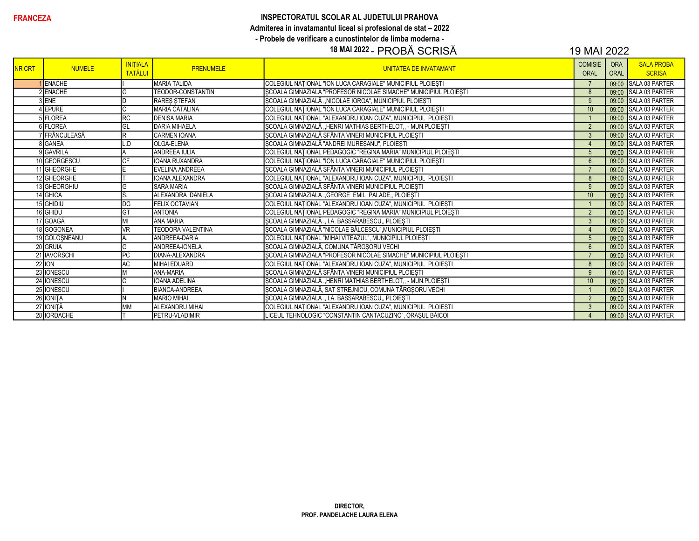## **FRANCEZA** INSPECTORATUL SCOLAR AL JUDETULUI PRAHOVA Admiterea in invatamantul liceal si profesional de stat – 2022 - Probele de verificare a cunostintelor de limba moderna -

## 18 MAI 2022 - PROBĂ SCRISĂ 19 MAI 2022

| <b>NR CRT</b> | <b>NUMELE</b>   | <b>INITIALA</b><br><b>TATĂLUI</b> | <b>PRENUMELE</b>         | <b>UNITATEA DE INVATAMANT</b>                                    | <b>COMISIE</b><br>ORAL | <b>ORA</b><br><b>ORAL</b> | <b>SALA PROBA</b><br><b>SCRISA</b> |
|---------------|-----------------|-----------------------------------|--------------------------|------------------------------------------------------------------|------------------------|---------------------------|------------------------------------|
|               | <b>ENACHE</b>   |                                   | <b>MARIA TALIDA</b>      | COLEGIUL NATIONAL "ION LUCA CARAGIALE" MUNICIPIUL PLOIESTI       |                        | 09:00                     | SALA 03 PARTER                     |
|               | <b>IENACHE</b>  | G                                 | TEODOR-CONSTANTIN        | ȘCOALA GIMNAZIALĂ "PROFESOR NICOLAE SIMACHE" MUNICIPIUL PLOIEȘTI | 8                      |                           | 09:00 SALA 03 PARTER               |
|               | <b>ENE</b>      |                                   | RARES STEFAN             | ȘCOALA GIMNAZIALĂ "NICOLAE IORGA", MUNICIPIUL PLOIEȘTI           | 9                      | 09:00                     | SALA 03 PARTER                     |
|               | <b>EPURE</b>    |                                   | MARIA CĂTĂLINA           | COLEGIUL NAȚIONAL "ION LUCA CARAGIALE" MUNICIPIUL PLOIEȘTI       | 10                     | 09:00                     | <b>SALA 03 PARTER</b>              |
|               | <b>FLOREA</b>   | <b>RC</b>                         | <b>DENISA MARIA</b>      | COLEGIUL NAȚIONAL "ALEXANDRU IOAN CUZA", MUNICIPIUL PLOIEȘTI     |                        |                           | 09:00 SALA 03 PARTER               |
|               | <b>SIFLOREA</b> | GL                                | <b>DARIA MIHAELA</b>     | ȘCOALA GIMNAZIALĂ "HENRI MATHIAS BERTHELOT,, - MUN.PLOIEȘTI      | $\overline{2}$         |                           | 09:00 SALA 03 PARTER               |
|               | ' FRÂNCULEASĂ   | lR                                | <b>CARMEN IOANA</b>      | ȘCOALA GIMNAZIALĂ SFÂNTA VINERI MUNICIPIUL PLOIEȘTI              | $\mathbf{3}$           |                           | 09:00 SALA 03 PARTER               |
|               | <b>GANEA</b>    | L.D                               | <b>OLGA-ELENA</b>        | ȘCOALA GIMNAZIALĂ "ANDREI MUREȘANU", PLOIEȘTI                    | $\overline{4}$         |                           | 09:00 SALA 03 PARTER               |
|               | 9 GAVRILĂ       |                                   | <b>ANDREEA IULIA</b>     | COLEGIUL NAȚIONAL PEDAGOGIC "REGINA MARIA" MUNICIPIUL PLOIEȘTI   | $5\phantom{.0}$        |                           | 09:00 SALA 03 PARTER               |
|               | 10 GEORGESCU    |                                   | IOANA RUXANDRA           | COLEGIUL NATIONAL "ION LUCA CARAGIALE" MUNICIPIUL PLOIESTI       | 6                      |                           | 09:00 SALA 03 PARTER               |
|               | 11 GHEORGHE     |                                   | EVELINA ANDREEA          | ȘCOALA GIMNAZIALĂ SFÂNTA VINERI MUNICIPIUL PLOIEȘTI              |                        |                           | 09:00 SALA 03 PARTER               |
|               | 12 GHEORGHE     |                                   | <b>IOANA ALEXANDRA</b>   | COLEGIUL NATIONAL "ALEXANDRU IOAN CUZA", MUNICIPIUL PLOIESTI     | 8                      | 09:00                     | SALA 03 PARTER                     |
|               | 13 GHEORGHIU    | lG                                | <b>SARA MARIA</b>        | ȘCOALA GIMNAZIALĂ SFÂNTA VINERI MUNICIPIUL PLOIEȘTI              | 9                      |                           | 09:00 SALA 03 PARTER               |
|               | 14 GHICA        | lS                                | ALEXANDRA DANIELA        | ȘCOALA GIMNAZIALĂ "GEORGE EMIL PALADE,, PLOIEȘTI                 | 10                     | 09:00                     | SALA 03 PARTER                     |
|               | 15 GHIDIU       | DG                                | <b>FELIX OCTAVIAN</b>    | COLEGIUL NAȚIONAL "ALEXANDRU IOAN CUZA", MUNICIPIUL PLOIEȘTI     |                        |                           | 09:00 SALA 03 PARTER               |
|               | 16 GHIDU        | lG1                               | <b>ANTONIA</b>           | COLEGIUL NAȚIONAL PEDAGOGIC "REGINA MARIA" MUNICIPIUL PLOIEȘTI   | $\overline{2}$         |                           | 09:00 SALA 03 PARTER               |
|               | 17 GOAGĂ        |                                   | <b>ANA MARIA</b>         | SCOALA GIMNAZIALĂ  I.A. BASSARABESCU., PLOIESTI                  | $\mathbf{3}$           |                           | 09:00 SALA 03 PARTER               |
|               | 18 GOGONEA      | VR                                | <b>TEODORA VALENTINA</b> | ȘCOALA GIMNAZIALĂ "NICOLAE BĂLCESCU", MUNICIPIUL PLOIEȘTI        | $\overline{4}$         |                           | 09:00 SALA 03 PARTER               |
|               | 19 GOLOŞNEANU   |                                   | ANDREEA-DARIA            | COLEGIUL NAȚIONAL "MIHAI VITEAZUL", MUNICIPIUL PLOIEȘTI          | $5\phantom{.0}$        |                           | 09:00 SALA 03 PARTER               |
|               | 20 GRUIA        | ΙG                                | <b>ANDREEA-IONELA</b>    | ȘCOALA GIMNAZIALĂ, COMUNA TÂRGȘORU VECHI                         | $6\overline{6}$        |                           | 09:00 SALA 03 PARTER               |
|               | 21 IAVORSCHI    | PC                                | DIANA-ALEXANDRA          | SCOALA GIMNAZIALĂ "PROFESOR NICOLAE SIMACHE" MUNICIPIUL PLOIESTI |                        | 09:00                     | <b>SALA 03 PARTER</b>              |
|               | $22$ ION        | AC                                | MIHAI EDUARD             | COLEGIUL NATIONAL "ALEXANDRU IOAN CUZA", MUNICIPIUL PLOIESTI     | 8                      |                           | 09:00 SALA 03 PARTER               |
|               | 23 IONESCU      |                                   | <b>ANA-MARIA</b>         | ȘCOALA GIMNAZIALĂ SFÂNTA VINERI MUNICIPIUL PLOIEȘTI              | 9                      | 09:00                     | SALA 03 PARTER                     |
|               | 24 IONESCU      |                                   | <b>IOANA ADELINA</b>     | SCOALA GIMNAZIALĂ "HENRI MATHIAS BERTHELOT,, - MUN.PLOIESTI      | 10                     |                           | 09:00 SALA 03 PARTER               |
|               | 25 IONESCU      |                                   | <b>BIANCA-ANDREEA</b>    | SCOALA GIMNAZIALĂ, SAT STREJNICU, COMUNA TÂRGSORU VECHI          |                        | 09:00                     | SALA 03 PARTER                     |
|               | 26 IONITĂ       |                                   | <b>MARIO MIHAI</b>       | ȘCOALA GIMNAZIALĂ "I.A. BASSARABESCU,, PLOIEȘTI                  | $\overline{2}$         |                           | 09:00 SALA 03 PARTER               |
|               | 27 IONIȚĂ       | <b>MM</b>                         | <b>ALEXANDRU MIHAI</b>   | COLEGIUL NATIONAL "ALEXANDRU IOAN CUZA", MUNICIPIUL PLOIESTI     | 3                      |                           | 09:00 SALA 03 PARTER               |
|               | 28 IORDACHE     |                                   | <b>PETRU-VLADIMIR</b>    | LICEUL TEHNOLOGIC "CONSTANTIN CANTACUZINO", ORAȘUL BĂICOI        | $\overline{4}$         |                           | 09:00 SALA 03 PARTER               |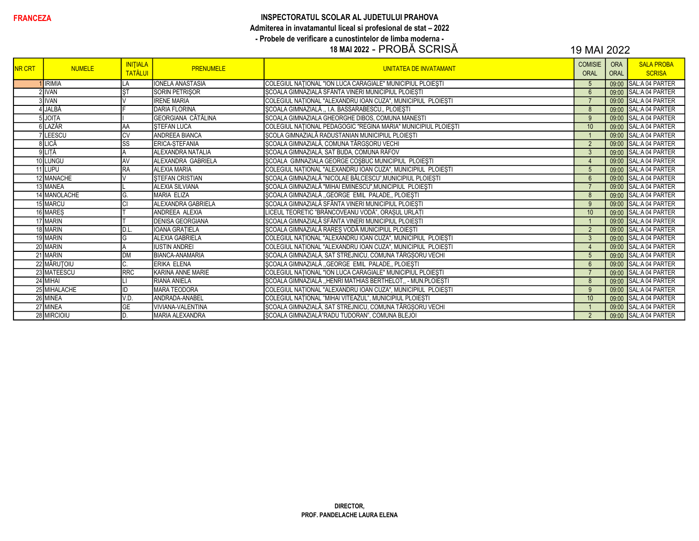# INSPECTORATUL SCOLAR AL JUDETULUI PRAHOVA Admiterea in invatamantul liceal si profesional de stat - 2022 - Probele de verificare a cunostintelor de limba moderna -<br>18 MAI 2022 - PROBĂ SCRISĂ

| <b>NR CRT</b> | <b>NUMELE</b> | <b>INITIALA</b><br><b>TATĂLUI</b> | <b>PRENUMELE</b>          | <b>UNITATEA DE INVATAMANT</b>                                  | <b>COMISIE</b><br><b>ORAL</b> | <b>ORA</b><br><b>ORAL</b> | <b>SALA PROBA</b><br><b>SCRISA</b> |
|---------------|---------------|-----------------------------------|---------------------------|----------------------------------------------------------------|-------------------------------|---------------------------|------------------------------------|
|               | <b>IRIMIA</b> | _A                                | <b>IONELA ANASTASIA</b>   | COLEGIUL NAȚIONAL "ION LUCA CARAGIALE" MUNICIPIUL PLOIEȘTI     | $5\overline{)}$               |                           | 09:00 SAL:A 04 PARTER              |
|               | 2 IVAN        | <b>ST</b>                         | SORIN PETRIŞOR            | ȘCOALA GIMNAZIALĂ SFÂNTA VINERI MUNICIPIUL PLOIEȘTI            | 6                             | 09:00                     | SAL:A 04 PARTER                    |
|               | <b>IVAN</b>   |                                   | <b>IRENE MARIA</b>        | COLEGIUL NAȚIONAL "ALEXANDRU IOAN CUZA", MUNICIPIUL PLOIEȘTI   | $\overline{7}$                |                           | 09:00 SAL:A 04 PARTER              |
|               | JALBĂ         |                                   | <b>DARIA FLORINA</b>      | ȘCOALA GIMNAZIALĂ,, I.A. BASSARABESCU,, PLOIEȘTI               | 8                             |                           | 09:00 SAL:A 04 PARTER              |
|               | JOITA         |                                   | GEORGIANA CĂTĂLINA        | SCOALA GIMNAZIALA GHEORGHE DIBOS, COMUNA MANESTI               | 9                             |                           | 09:00 SAL:A 04 PARTER              |
|               | ilazăr        | İΑA                               | <b>STEFAN LUCA</b>        | COLEGIUL NAȚIONAL PEDAGOGIC "REGINA MARIA" MUNICIPIUL PLOIEȘTI | 10                            |                           | 09:00 SAL:A 04 PARTER              |
|               | LEESCU        | CV                                | <b>ANDREEA BIANCA</b>     | ȘCOLA GIMNAZIALĂ RADUSTANIAN MUNICIPIUL PLOIEȘTI               |                               |                           | 09:00 SAL:A 04 PARTER              |
|               | <b>ILICĂ</b>  | $\overline{\text{SS}}$            | ERICA-STEFANIA            | ȘCOALA GIMNAZIALĂ, COMUNA TÂRGȘORU VECHI                       | $\overline{2}$                |                           | 09:00 SAL:A 04 PARTER              |
|               | 9 LITĂ        |                                   | ALEXANDRA NATALIA         | ȘCOALA GIMNAZIALĂ, SAT BUDA, COMUNA RÂFOV                      | $\mathbf{3}$                  |                           | 09:00 SAL:A 04 PARTER              |
|               | 10 LUNGU      | <b>AV</b>                         | <b>ALEXANDRA GABRIELA</b> | ȘCOALA GIMNAZIALA GEORGE COȘBUC MUNICIPIUL PLOIEȘTI            | $\overline{4}$                |                           | 09:00 SAL:A 04 PARTER              |
|               | 11 LUPU       | RA                                | <b>ALEXIA MARIA</b>       | COLEGIUL NAȚIONAL "ALEXANDRU IOAN CUZA", MUNICIPIUL PLOIEȘTI   | $5\phantom{1}$                |                           | 09:00 SAL:A 04 PARTER              |
|               | 12 MANACHE    |                                   | <b>STEFAN CRISTIAN</b>    | ȘCOALA GIMNAZIALĂ "NICOLAE BĂLCESCU", MUNICIPIUL PLOIEȘTI      | $6\overline{6}$               | 09:00                     | <b>SAL:A 04 PARTER</b>             |
|               | 13 MANEA      |                                   | <b>ALEXIA SILVIANA</b>    | ȘCOALA GIMNAZIALĂ "MIHAI EMINESCU", MUNICIPIUL PLOIEȘTI        | $\overline{7}$                |                           | 09:00 SAL:A 04 PARTER              |
|               | 14 MANOLACHE  | G                                 | <b>MARIA ELIZA</b>        | ȘCOALA GIMNAZIALĂ "GEORGE EMIL PALADE,, PLOIEȘTI               | 8                             |                           | 09:00 SAL:A 04 PARTER              |
|               | 15 MARCU      |                                   | ALEXANDRA GABRIELA        | SCOALA GIMNAZIALĂ SFÂNTA VINERI MUNICIPIUL PLOIESTI            | 9                             |                           | 09:00 SAL:A 04 PARTER              |
|               | 16 MARES      |                                   | ANDREEA ALEXIA            | LICEUL TEORETIC "BRÂNCOVEANU VODĂ", ORAȘUL URLAȚI              | 10                            |                           | 09:00 SAL:A 04 PARTER              |
|               | 17 MARIN      |                                   | <b>DENISA GEORGIANA</b>   | ȘCOALA GIMNAZIALĂ SFÂNTA VINERI MUNICIPIUL PLOIEȘTI            |                               |                           | 09:00 SAL:A 04 PARTER              |
|               | 18 MARIN      | D.L                               | <b>IOANA GRATIELA</b>     | ȘCOALA GIMNAZIALĂ RAREȘ VODĂ MUNICIPIUL PLOIEȘTI               | $\overline{2}$                |                           | 09:00 SAL:A 04 PARTER              |
|               | 19 MARIN      | G                                 | <b>ALEXIA GABRIELA</b>    | COLEGIUL NATIONAL "ALEXANDRU IOAN CUZA", MUNICIPIUL PLOIESTI   | $\mathbf{3}$                  |                           | 09:00 SAL:A 04 PARTER              |
|               | 20 MARIN      |                                   | <b>IUSTIN ANDREI</b>      | COLEGIUL NAȚIONAL "ALEXANDRU IOAN CUZA", MUNICIPIUL PLOIEȘTI   | $\overline{4}$                |                           | 09:00 SAL:A 04 PARTER              |
|               | 21 MARIN      | <b>DM</b>                         | <b>BIANCA-ANAMARIA</b>    | ȘCOALA GIMNAZIALĂ, SAT STREJNICU, COMUNA TÂRGȘORU VECHI        | 5                             | 09:00                     | SAL:A 04 PARTER                    |
|               | 22 MĂRUȚOIU   |                                   | ERIKA ELENA               | SCOALA GIMNAZIALĂ "GEORGE EMIL PALADE, PLOIEȘTI                | $6\overline{6}$               |                           | 09:00 SAL:A 04 PARTER              |
|               | 23 MATEESCU   | RRC                               | KARINA ANNE MARIE         | COLEGIUL NAȚIONAL "ION LUCA CARAGIALE" MUNICIPIUL PLOIEȘTI     |                               |                           | 09:00 SAL:A 04 PARTER              |
|               | 24 MIHAI      |                                   | RIANA ANIELA              | ȘCOALA GIMNAZIALĂ "HENRI MATHIAS BERTHELOT,, - MUN.PLOIEȘTI    | 8                             |                           | 09:00 SAL:A 04 PARTER              |
|               | 25 MIHALACHE  | ID                                | <b>MARA TEODORA</b>       | COLEGIUL NAȚIONAL "ALEXANDRU IOAN CUZA", MUNICIPIUL PLOIEȘTI   | 9                             |                           | 09:00 SAL:A 04 PARTER              |
|               | 26 MINEA      | V.D.                              | ANDRADA-ANABEL            | COLEGIUL NAȚIONAL "MIHAI VITEAZUL", MUNICIPIUL PLOIEȘTI        | 10                            |                           | 09:00 SAL:A 04 PARTER              |
|               | 27 MINEA      | <b>GE</b>                         | VIVIANA-VALENTINA         | ȘCOALA GIMNAZIALĂ, SAT STREJNICU, COMUNA TÂRGȘORU VECHI        |                               |                           | 09:00 SAL:A 04 PARTER              |
|               | 28 MIRCIOIU   | ID                                | MARIA ALEXANDRA           | SCOALA GIMNAZIALĂ"RADU TUDORAN", COMUNA BLEJOI                 | $\overline{2}$                |                           | 09:00 SAL:A 04 PARTER              |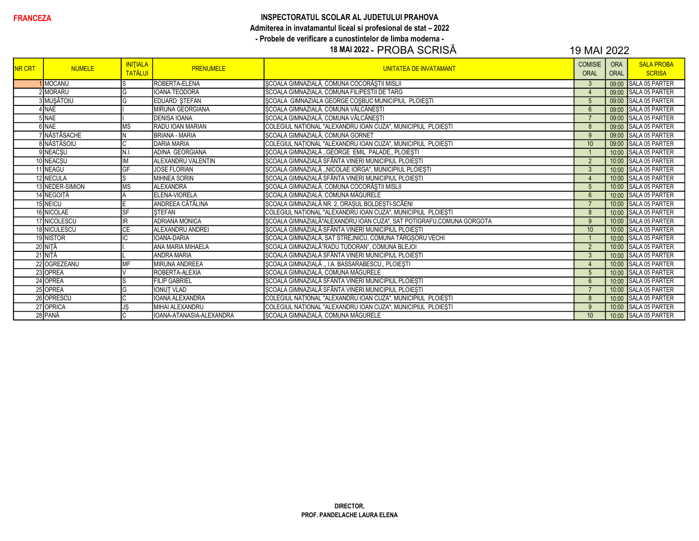#### INSPECTORATUL SCOLAR AL JUDETULUI PRAHOVA Admiterea in invatamantul liceal si profesional de stat - 2022

- Probele de verificare a cunostintelor de limba moderna -

## 18 MAI 2022 - PROBA SCRISĂ

| <b>NR CRT</b> | <b>NUMELE</b>     | <b>INITIALA</b><br><b>TATĂLUI</b> | <b>PRENUMELE</b>         | <b>UNITATEA DE INVATAMANT</b>                                        | <b>COMISIE</b><br><b>ORAL</b> | <b>ORA</b><br><b>ORAL</b> | <b>SALA PROBA</b><br><b>SCRISA</b> |
|---------------|-------------------|-----------------------------------|--------------------------|----------------------------------------------------------------------|-------------------------------|---------------------------|------------------------------------|
|               | <b>MOCANU</b>     |                                   | ROBERTA-ELENA            | ȘCOALA GIMNAZIALĂ, COMUNA COCORĂȘTII MISLII                          | 3                             |                           | 09:00 SALA 05 PARTER               |
|               | MORARU            |                                   | <b>IOANA TEODORA</b>     | SCOALA GIMNAZIALA, COMUNA FILIPESTII DE TARG                         | $\overline{4}$                |                           | 09:00 SALA 05 PARTER               |
|               | B∏MUŞĂTOIU        |                                   | EDUARD STEFAN            | SCOALA GIMNAZIALA GEORGE COSBUC MUNICIPIUL PLOIESTI                  | 5                             |                           | 09:00 SALA 05 PARTER               |
|               | <b>NAE</b>        |                                   | <b>MIRUNA GEORGIANA</b>  | ȘCOALA GIMNAZIALĂ, COMUNA VÂLCĂNEȘTI                                 | $6\phantom{1}6$               |                           | 09:00 SALA 05 PARTER               |
|               | 5 NAE             |                                   | <b>DENISA IOANA</b>      | ȘCOALA GIMNAZIALĂ, COMUNA VÂLCĂNEȘTI                                 |                               |                           | 09:00 SALA 05 PARTER               |
|               | <b>SINAE</b>      | МS                                | RADU JOAN MARIAN         | COLEGIUL NAȚIONAL "ALEXANDRU IOAN CUZA", MUNICIPIUL PLOIEȘTI         | 8                             |                           | 09:00 SALA 05 PARTER               |
|               | <b>NASTASACHE</b> |                                   | <b>BRIANA - MARIA</b>    | ȘCOALA GIMNAZIALĂ, COMUNA GORNET                                     | 9                             |                           | 09:00 SALA 05 PARTER               |
|               | 8 NĂSTĂSOIU       |                                   | <b>DARIA MARIA</b>       | COLEGIUL NAȚIONAL "ALEXANDRU IOAN CUZA", MUNICIPIUL PLOIEȘTI         | 10                            |                           | 09:00 SALA 05 PARTER               |
|               | 9 NEACŞU          | IN.I.                             | ADINA GEORGIANA          | ȘCOALA GIMNAZIALĂ "GEORGE EMIL PALADE,, PLOIEȘTI                     |                               |                           | 10:00 SALA 05 PARTER               |
|               | 10 NEACSU         |                                   | ALEXANDRU VALENTIN       | ȘCOALA GIMNAZIALĂ SFÂNTA VINERI MUNICIPIUL PLOIEȘTI                  | $\overline{2}$                |                           | 10:00 SALA 05 PARTER               |
|               | 11 NEAGU          | GF                                | <b>JOSE FLORIAN</b>      | ȘCOALA GIMNAZIALĂ "NICOLAE IORGA", MUNICIPIUL PLOIEȘTI               | $\mathbf{3}$                  |                           | 10:00 SALA 05 PARTER               |
|               | 12 NECULA         |                                   | <b>MIHNEA SORIN</b>      | ȘCOALA GIMNAZIALĂ SFÂNTA VINERI MUNICIPIUL PLOIEȘTI                  | $\overline{4}$                |                           | 10:00 SALA 05 PARTER               |
|               | 13 NEDER-SIMION   | <b>MS</b>                         | ALEXANDRA                | ȘCOALA GIMNAZIALĂ, COMUNA COCORĂȘTII MISLII                          | 5                             |                           | 10:00 SALA 05 PARTER               |
|               | 14 NEGOITĂ        |                                   | ELENA-VIORELA            | ȘCOALA GIMNAZIALĂ, COMUNA MĂGURELE                                   | $6\phantom{1}6$               |                           | 10:00 SALA 05 PARTER               |
|               | 15 NEICU          |                                   | ANDREEA CĂTĂLINA         | ȘCOALA GIMNAZIALĂ NR. 2, ORAȘUL BOLDEȘTI-SCĂENI                      | $\overline{7}$                |                           | 10:00 SALA 05 PARTER               |
|               | 16 NICOLAE        | <b>SF</b>                         | <b>STEFAN</b>            | COLEGIUL NAȚIONAL "ALEXANDRU IOAN CUZA", MUNICIPIUL PLOIEȘTI         | 8                             |                           | 10:00 SALA 05 PARTER               |
|               | 17 NICOLESCU      | IR                                | <b>ADRIANA MONICA</b>    | ȘCOALA GIMNAZIALĂ"ALEXANDRU IOAN CUZA", SAT POTIGRAFU,COMUNA GORGOTA | 9                             |                           | 10:00 SALA 05 PARTER               |
|               | 18 NICULESCU      | $\overline{CE}$                   | ALEXANDRU ANDREI         | ȘCOALA GIMNAZIALĂ SFÂNTA VINERI MUNICIPIUL PLOIEȘTI                  | 10                            |                           | 10:00 SALA 05 PARTER               |
|               | 19 NISTOR         |                                   | IOANA-DARIA              | ȘCOALA GIMNAZIALĂ, SAT STREJNICU, COMUNA TÂRGȘORU VECHI              |                               |                           | 10:00 SALA 05 PARTER               |
|               | 20 NIȚĂ           |                                   | ANA MARIA MIHAELA        | ȘCOALA GIMNAZIALĂ"RADU TUDORAN", COMUNA BLEJOI                       | $\overline{2}$                |                           | 10:00 SALA 05 PARTER               |
|               | 21 NITĂ           |                                   | <b>ANDRA MARIA</b>       | SCOALA GIMNAZIALĂ SFÂNTA VINERI MUNICIPIUL PLOIEȘTI                  | $\mathbf{3}$                  |                           | 10:00 SALA 05 PARTER               |
|               | 22 OGREZEANU      | MF                                | <b>MIRUNA ANDREEA</b>    | ȘCOALA GIMNAZIALĂ "I.A. BASSARABESCU" PLOIEȘTI                       | $\overline{4}$                |                           | 10:00 SALA 05 PARTER               |
|               | 23 OPREA          |                                   | ROBERTA-ALEXIA           | SCOALA GIMNAZIALĂ, COMUNA MĂGURELE                                   | 5                             |                           | 10:00 SALA 05 PARTER               |
|               | 24 OPREA          |                                   | <b>FILIP GABRIEL</b>     | ȘCOALA GIMNAZIALĂ SFÂNTA VINERI MUNICIPIUL PLOIEȘTI                  | $6\overline{6}$               |                           | 10:00 SALA 05 PARTER               |
|               | 25 OPREA          | G                                 | <b>IONUT VLAD</b>        | ȘCOALA GIMNAZIALĂ SFÂNTA VINERI MUNICIPIUL PLOIEȘTI                  | $\overline{7}$                |                           | 10:00 SALA 05 PARTER               |
|               | 26 OPRESCU        |                                   | <b>IOANA ALEXANDRA</b>   | COLEGIUL NAȚIONAL "ALEXANDRU IOAN CUZA", MUNICIPIUL PLOIEȘTI         | 8                             |                           | 10:00 SALA 05 PARTER               |
|               | 27 OPRICA         | JS                                | MIHAI ALEXANDRU          | COLEGIUL NAȚIONAL "ALEXANDRU IOAN CUZA", MUNICIPIUL PLOIEȘTI         | 9                             |                           | 10:00 SALA 05 PARTER               |
|               | 28 PANĂ           |                                   | IOANA-ATANASIA-ALEXANDRA | SCOALA GIMNAZIALĂ, COMUNA MĂGURELE                                   | 10                            |                           | 10:00 SALA 05 PARTER               |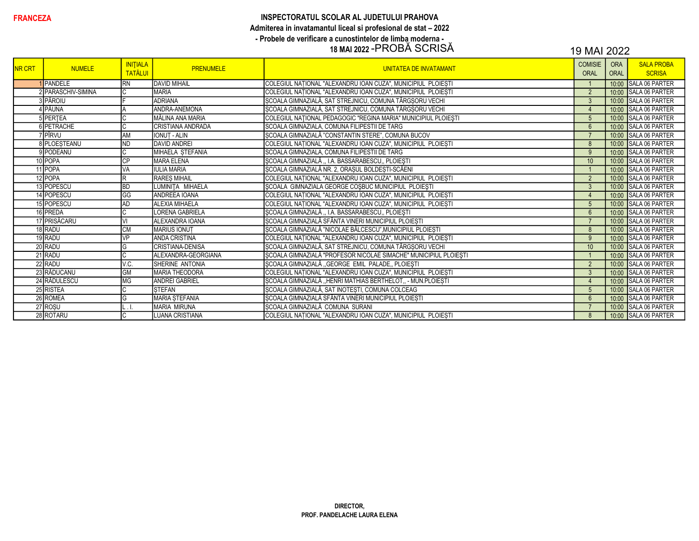### **FRANCEZA** INSPECTORATUL SCOLAR AL JUDETULUI PRAHOVA Admiterea in invatamantul liceal si profesional de stat – 2022 - Probele de verificare a cunostintelor de limba moderna - 18 MAI 2022 -PROBĂ SCRISĂ 19 MAI 2022

| <b>NR CRT</b> | <b>NUMELE</b>       | <b>INITIALA</b><br><b>TATĂLUI</b> | <b>PRENUMELE</b>         | UNITATEA DE INVATAMANT                                           | <b>COMISIE</b><br>ORAL | <b>ORA</b><br><b>ORAL</b> | <b>SALA PROBA</b><br><b>SCRISA</b> |
|---------------|---------------------|-----------------------------------|--------------------------|------------------------------------------------------------------|------------------------|---------------------------|------------------------------------|
|               | PANDELE             | <b>RN</b>                         | <b>DAVID MIHAIL</b>      | COLEGIUL NATIONAL "ALEXANDRU IOAN CUZA", MUNICIPIUL PLOIESTI     |                        | 10:00                     | <b>SALA 06 PARTER</b>              |
|               | 2 PARASCHIV-SIMINA  |                                   | <b>MARIA</b>             | COLEGIUL NATIONAL "ALEXANDRU IOAN CUZA", MUNICIPIUL PLOIESTI     | $\overline{2}$         |                           | 10:00 SALA 06 PARTER               |
|               | 3 PĂROIU            |                                   | <b>ADRIANA</b>           | ȘCOALA GIMNAZIALĂ, SAT STREJNICU, COMUNA TÂRGȘORU VECHI          | $\mathbf{3}$           |                           | 10:00 SALA 06 PARTER               |
|               | 1 PĂUNA             |                                   | ANDRA-ANEMONA            | ȘCOALA GIMNAZIALĂ, SAT STREJNICU, COMUNA TÂRGȘORU VECHI          | $\overline{4}$         |                           | 10:00 SALA 06 PARTER               |
|               | PERTEA              |                                   | IMĂLINA ANA MARIA        | COLEGIUL NAȚIONAL PEDAGOGIC "REGINA MARIA" MUNICIPIUL PLOIEȘTI   | $5\overline{)}$        | 10:00                     | SALA 06 PARTER                     |
|               | PETRACHE            |                                   | <b>CRISTIANA ANDRADA</b> | SCOALA GIMNAZIALA, COMUNA FILIPESTII DE TARG                     | $6\overline{6}$        |                           | 10:00 SALA 06 PARTER               |
|               | 'ipîrvu             | <b>AM</b>                         | <b>IONUT - ALIN</b>      | ȘCOALA GIMNAZIALĂ "CONSTANTIN STERE", COMUNA BUCOV               |                        | 10:00                     | SALA 06 PARTER                     |
|               | <b>B</b> PLOESTEANU | ND                                | <b>DAVID ANDREI</b>      | COLEGIUL NAȚIONAL "ALEXANDRU IOAN CUZA", MUNICIPIUL PLOIEȘTI     | 8                      | 10:00                     | <b>SALA 06 PARTER</b>              |
|               | 9 PODEANU           |                                   | MIHAELA ȘTEFANIA         | SCOALA GIMNAZIALA, COMUNA FILIPESTII DE TARG                     | 9                      |                           | 10:00 SALA 06 PARTER               |
|               | 10 POPA             | <b>CP</b>                         | <b>MARA ELENA</b>        | ŞCOALA GIMNAZIALĂ ,, I.A. BASSARABESCU,, PLOIEŞTI                | 10                     |                           | 10:00 SALA 06 PARTER               |
|               | 11 POPA             | VA                                | <b>IULIA MARIA</b>       | ȘCOALA GIMNAZIALĂ NR. 2, ORAȘUL BOLDEȘTI-SCĂENI                  |                        |                           | 10:00 SALA 06 PARTER               |
|               | 12 POPA             |                                   | <b>RARES MIHAIL</b>      | COLEGIUL NAȚIONAL "ALEXANDRU IOAN CUZA", MUNICIPIUL PLOIEȘTI     | $\overline{2}$         | 10:00                     | <b>SALA 06 PARTER</b>              |
|               | 13 POPESCU          | <b>BD</b>                         | LUMINITA MIHAELA         | ŞCOALA GIMNAZIALA GEORGE COŞBUC MUNICIPIUL PLOIEȘTI              | $\mathbf{3}$           |                           | 10:00 SALA 06 PARTER               |
|               | 14 POPESCU          | GG                                | <b>ANDREEA IOANA</b>     | COLEGIUL NAȚIONAL "ALEXANDRU IOAN CUZA", MUNICIPIUL PLOIEȘTI     | $\overline{4}$         |                           | 10:00 SALA 06 PARTER               |
|               | 15 POPESCU          | <b>AD</b>                         | <b>ALEXIA MIHAELA</b>    | COLEGIUL NAȚIONAL "ALEXANDRU IOAN CUZA", MUNICIPIUL PLOIEȘTI     | $5\overline{)}$        | 10:00                     | SALA 06 PARTER                     |
|               | 16 PREDA            | IС                                | LORENA GABRIELA          | ȘCOALA GIMNAZIALĂ "I.A. BASSARABESCU" PLOIEȘTI                   | $6\overline{6}$        | 10:00                     | SALA 06 PARTER                     |
|               | 17 PRISĂCARU        |                                   | ALEXANDRA IOANA          | ȘCOALA GIMNAZIALĂ SFÂNTA VINERI MUNICIPIUL PLOIEȘTI              | $\overline{7}$         |                           | 10:00 SALA 06 PARTER               |
|               | 18 RADU             | <b>CM</b>                         | <b>MARIUS IONUT</b>      | ȘCOALA GIMNAZIALĂ "NICOLAE BĂLCESCU", MUNICIPIUL PLOIEȘTI        | 8                      |                           | 10:00 SALA 06 PARTER               |
|               | 19 RADU             | VP                                | <b>ANDA CRISTINA</b>     | COLEGIUL NAȚIONAL "ALEXANDRU IOAN CUZA", MUNICIPIUL PLOIEȘTI     | 9                      |                           | 10:00 SALA 06 PARTER               |
|               | 20 RADU             | G                                 | <b>CRISTIANA-DENISA</b>  | ȘCOALA GIMNAZIALĂ, SAT STREJNICU, COMUNA TÂRGȘORU VECHI          | 10                     |                           | 10:00 SALA 06 PARTER               |
|               | 21 RADU             |                                   | ALEXANDRA-GEORGIANA      | ȘCOALA GIMNAZIALĂ "PROFESOR NICOLAE SIMACHE" MUNICIPIUL PLOIEȘTI |                        | 10:00                     | <b>SALA 06 PARTER</b>              |
|               | 22 RADU             | V.C.                              | <b>I</b> SHERINE ANTONIA | ȘCOALA GIMNAZIALĂ "GEORGE EMIL PALADE,, PLOIEȘTI                 | 2                      | 10:00                     | <b>SALA 06 PARTER</b>              |
|               | 23 RĂDUCANU         | <b>GM</b>                         | <b>MARIA THEODORA</b>    | COLEGIUL NAȚIONAL "ALEXANDRU IOAN CUZA", MUNICIPIUL PLOIEȘTI     | $\mathbf{3}$           |                           | 10:00 SALA 06 PARTER               |
|               | 24 RĂDULESCU        | ΜG                                | <b>ANDREI GABRIEL</b>    | ȘCOALA GIMNAZIALĂ "HENRI MATHIAS BERTHELOT,, - MUN.PLOIEȘTI      | $\overline{4}$         |                           | 10:00 SALA 06 PARTER               |
|               | 25 RISTEA           |                                   | <b>STEFAN</b>            | ȘCOALA GIMNAZIALĂ, SAT INOTEȘTI, COMUNA COLCEAG                  | $5\overline{)}$        |                           | 10:00 SALA 06 PARTER               |
|               | 26 ROMEA            | G                                 | MARIA STEFANIA           | ȘCOALA GIMNAZIALĂ SFÂNTA VINERI MUNICIPIUL PLOIEȘTI              | $6\overline{6}$        | 10:00                     | <b>SALA 06 PARTER</b>              |
|               | 27 ROŞU             |                                   | <b>MARIA MIRUNA</b>      | SCOALA GIMNAZIALĂ COMUNA SURANI                                  | $\overline{7}$         |                           | 10:00 SALA 06 PARTER               |
|               | 28 ROTARU           |                                   | <b>LUANA CRISTIANA</b>   | COLEGIUL NATIONAL "ALEXANDRU IOAN CUZA", MUNICIPIUL PLOIESTI     | 8                      |                           | 10:00 SALA 06 PARTER               |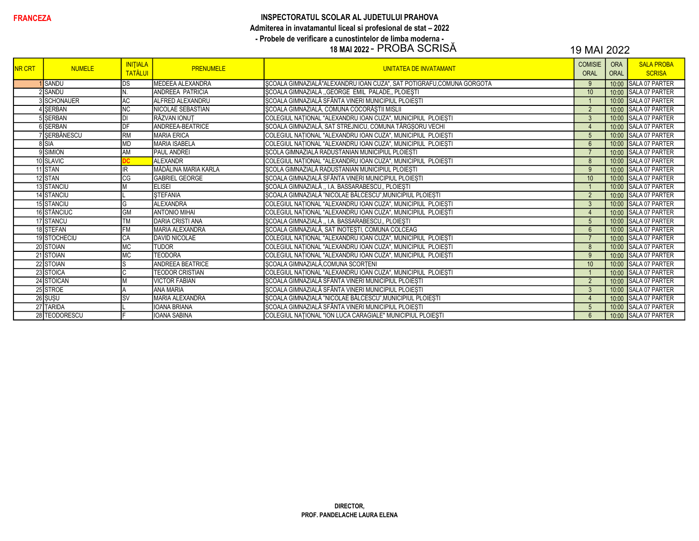# INSPECTORATUL SCOLAR AL JUDETULUI PRAHOVA Admiterea in invatamantul liceal si profesional de stat - 2022 - Probele de verificare a cunostintelor de limba moderna -<br>18 MAI 2022 - PROBA SCRISĂ

| <b>NR CRT</b> | <b>NUMELE</b>   | <b>INITIALA</b><br><b>TATĂLUI</b> | <b>PRENUMELE</b>        | <b>UNITATEA DE INVATAMANT</b>                                        | <b>COMISIE</b><br><b>ORAL</b> | <b>ORA</b><br>ORAL | <b>SALA PROBA</b><br><b>SCRISA</b> |
|---------------|-----------------|-----------------------------------|-------------------------|----------------------------------------------------------------------|-------------------------------|--------------------|------------------------------------|
|               | <b>SANDU</b>    | IDS                               | MEDEEA ALEXANDRA        | SCOALA GIMNAZIALĂ"ALEXANDRU IOAN CUZA", SAT POTIGRAFU,COMUNA GORGOTA | 9                             | 10:00              | <b>SALA 07 PARTER</b>              |
|               | 2 SANDU         | IN.                               | <b>ANDREEA PATRICIA</b> | SCOALA GIMNAZIALĂ "GEORGE EMIL PALADE" PLOIEȘTI                      | 10                            | 10:00              | SALA 07 PARTER                     |
|               | 3 SCHONAUER     | <b>AC</b>                         | ALFRED ALEXANDRU        | SCOALA GIMNAZIALĂ SFÂNTA VINERI MUNICIPIUL PLOIEȘTI                  |                               |                    | 10:00 SALA 07 PARTER               |
|               | 4 SERBAN        | <b>INC</b>                        | NICOLAE SEBASTIAN       | ȘCOALA GIMNAZIALĂ, COMUNA COCORĂȘTII MISLII                          | 2                             |                    | 10:00 SALA 07 PARTER               |
|               | <b>SISERBAN</b> | IЫ                                | RĂZVAN IONUT            | COLEGIUL NAȚIONAL "ALEXANDRU IOAN CUZA", MUNICIPIUL PLOIEȘTI         | $\mathbf{3}$                  | 10:00              | SALA 07 PARTER                     |
|               | 6 SERBAN        | DF                                | ANDREEA-BEATRICE        | ȘCOALA GIMNAZIALĂ, SAT STREJNICU, COMUNA TÂRGȘORU VECHI              | $\overline{4}$                | 10:00              | SALA 07 PARTER                     |
|               | 7 SERBĂNESCU    | RM                                | <b>MARIA ERICA</b>      | COLEGIUL NAȚIONAL "ALEXANDRU IOAN CUZA", MUNICIPIUL PLOIEȘTI         | $5\overline{)}$               |                    | 10:00 SALA 07 PARTER               |
|               | 8 SIA           | MD                                | <b>MARIA ISABELA</b>    | COLEGIUL NATIONAL "ALEXANDRU IOAN CUZA", MUNICIPIUL PLOIEȘTI         | $6\overline{6}$               | 10:00              | SALA 07 PARTER                     |
|               | 9 SIMION        | <b>AM</b>                         | <b>PAUL ANDREI</b>      | ȘCOLA GIMNAZIALĂ RADUSTANIAN MUNICIPIUL PLOIEȘTI                     | $\overline{7}$                |                    | 10:00 SALA 07 PARTER               |
|               | 10 SLAVIC       |                                   | <b>ALEXANDR</b>         | COLEGIUL NATIONAL "ALEXANDRU IOAN CUZA", MUNICIPIUL PLOIESTI         | 8                             | 10:00              | SALA 07 PARTER                     |
|               | 11 STAN         |                                   | MĂDĂLINA MARIA KARLA    | ȘCOLA GIMNAZIALĂ RADUSTANIAN MUNICIPIUL PLOIEȘTI                     | 9                             |                    | 10:00 SALA 07 PARTER               |
|               | 12 STAN         | CG                                | <b>GABRIEL GEORGE</b>   | ȘCOALA GIMNAZIALĂ SFÂNTA VINERI MUNICIPIUL PLOIEȘTI                  | 10                            | 10:00              | SALA 07 PARTER                     |
|               | 13 STANCIU      |                                   | <b>ELISEI</b>           | ȘCOALA GIMNAZIALĂ "I.A. BASSARABESCU" PLOIEȘTI                       |                               |                    | 10:00 SALA 07 PARTER               |
|               | 14 STANCIU      |                                   | <b>STEFANIA</b>         | SCOALA GIMNAZIALĂ "NICOLAE BĂLCESCU", MUNICIPIUL PLOIEȘTI            | $\overline{2}$                | 10:00              | SALA 07 PARTER                     |
|               | 15 STANCIU      | G                                 | <b>ALEXANDRA</b>        | COLEGIUL NATIONAL "ALEXANDRU IOAN CUZA", MUNICIPIUL PLOIESTI         | $\mathbf{3}$                  | 10:00              | SALA 07 PARTER                     |
|               | 16 STĂNCIUC     | GM                                | <b>ANTONIO MIHAI</b>    | COLEGIUL NATIONAL "ALEXANDRU IOAN CUZA", MUNICIPIUL PLOIESTI         | $\overline{4}$                |                    | 10:00 SALA 07 PARTER               |
|               | 17 STANCU       | <b>TM</b>                         | <b>DARIA CRISTI ANA</b> | ȘCOALA GIMNAZIALĂ "I.A. BASSARABESCU" PLOIEȘTI                       | $5\overline{)}$               |                    | 10:00 SALA 07 PARTER               |
|               | 18 STEFAN       | FM                                | MARIA ALEXANDRA         | ȘCOALA GIMNAZIALĂ, SAT INOTEȘTI, COMUNA COLCEAG                      | $6\overline{6}$               |                    | 10:00 SALA 07 PARTER               |
|               | 19 STOCHECIU    | <b>CA</b>                         | <b>DAVID NICOLAE</b>    | COLEGIUL NAȚIONAL "ALEXANDRU IOAN CUZA", MUNICIPIUL PLOIEȘTI         |                               | 10:00              | SALA 07 PARTER                     |
|               | 20 STOIAN       | <b>MC</b>                         | <b>TUDOR</b>            | COLEGIUL NAȚIONAL "ALEXANDRU IOAN CUZA", MUNICIPIUL PLOIEȘTI         | 8                             |                    | 10:00 SALA 07 PARTER               |
|               | 21 STOIAN       | <b>MC</b>                         | <b>TEODORA</b>          | COLEGIUL NAȚIONAL "ALEXANDRU IOAN CUZA", MUNICIPIUL PLOIEȘTI         | 9                             | 10:00              | <b>SALA 07 PARTER</b>              |
|               | 22 STOIAN       | lS                                | <b>ANDREEA BEATRICE</b> | SCOALA GIMNAZIALĂ, COMUNA SCORTENI                                   | 10                            |                    | 10:00 SALA 07 PARTER               |
|               | 23 STOICA       | IС                                | <b>TEODOR CRISTIAN</b>  | COLEGIUL NAȚIONAL "ALEXANDRU IOAN CUZA", MUNICIPIUL PLOIEȘTI         |                               |                    | 10:00 SALA 07 PARTER               |
|               | 24 STOICAN      |                                   | <b>VICTOR FABIAN</b>    | ȘCOALA GIMNAZIALĂ SFÂNTA VINERI MUNICIPIUL PLOIEȘTI                  | $\overline{2}$                | 10:00              | SALA 07 PARTER                     |
|               | 25 STROE        |                                   | <b>ANA MARIA</b>        | ȘCOALA GIMNAZIALĂ SFÂNTA VINERI MUNICIPIUL PLOIEȘTI                  | $\mathbf{3}$                  |                    | 10:00 SALA 07 PARTER               |
|               | 26 ŞUŞU         | <b>SV</b>                         | MARIA ALEXANDRA         | ȘCOALA GIMNAZIALĂ "NICOLAE BĂLCESCU", MUNICIPIUL PLOIEȘTI            | $\overline{4}$                | 10:00              | SALA 07 PARTER                     |
|               | 27 TARIDA       |                                   | <b>IOANA BRIANA</b>     | SCOALA GIMNAZIALĂ SFÂNTA VINERI MUNICIPIUL PLOIESTI                  | $5\overline{)}$               |                    | 10:00 SALA 07 PARTER               |
|               | 28 TEODORESCU   |                                   | <b>IOANA SABINA</b>     | COLEGIUL NATIONAL "ION LUCA CARAGIALE" MUNICIPIUL PLOIESTI           | $6 \overline{6}$              |                    | 10:00 SALA 07 PARTER               |